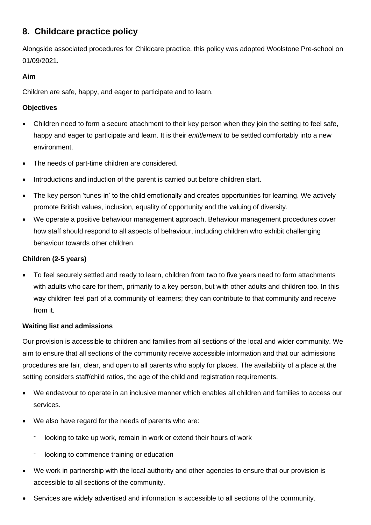# **8. Childcare practice policy**

Alongside associated procedures for Childcare practice, this policy was adopted Woolstone Pre-school on 01/09/2021.

## **Aim**

Children are safe, happy, and eager to participate and to learn.

## **Objectives**

- Children need to form a secure attachment to their key person when they join the setting to feel safe, happy and eager to participate and learn. It is their *entitlement* to be settled comfortably into a new environment.
- The needs of part-time children are considered.
- Introductions and induction of the parent is carried out before children start.
- The key person 'tunes-in' to the child emotionally and creates opportunities for learning. We actively promote British values, inclusion, equality of opportunity and the valuing of diversity.
- We operate a positive behaviour management approach. Behaviour management procedures cover how staff should respond to all aspects of behaviour, including children who exhibit challenging behaviour towards other children.

## **Children (2-5 years)**

• To feel securely settled and ready to learn, children from two to five years need to form attachments with adults who care for them, primarily to a key person, but with other adults and children too. In this way children feel part of a community of learners; they can contribute to that community and receive from it.

#### **Waiting list and admissions**

Our provision is accessible to children and families from all sections of the local and wider community. We aim to ensure that all sections of the community receive accessible information and that our admissions procedures are fair, clear, and open to all parents who apply for places. The availability of a place at the setting considers staff/child ratios, the age of the child and registration requirements.

- We endeavour to operate in an inclusive manner which enables all children and families to access our services.
- We also have regard for the needs of parents who are:
	- looking to take up work, remain in work or extend their hours of work
	- looking to commence training or education
- We work in partnership with the local authority and other agencies to ensure that our provision is accessible to all sections of the community.
- Services are widely advertised and information is accessible to all sections of the community.